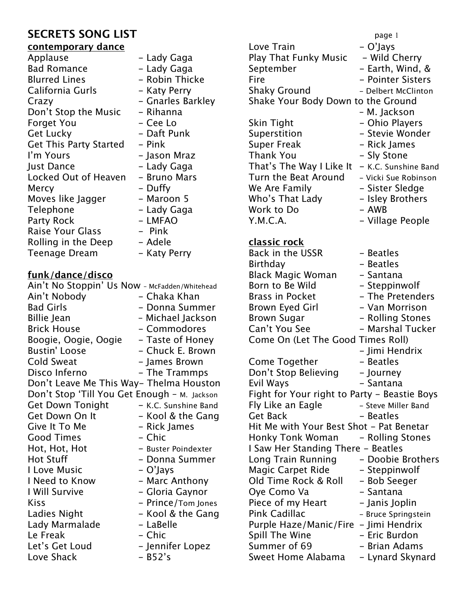- Lady Gaga - Lady Gaga - Robin Thicke - Katy Perry

- Rihanna - Cee Lo - Daft Punk

- Jason Mraz - Lady Gaga - Bruno Mars

- Pink

- Duffy - Maroon 5 - Lady Gaga - LMFAO - Pink - Adele - Katy Perry

- Gnarles Barkley

## **contemporary dance**

| Applause                      |
|-------------------------------|
| <b>Bad Romance</b>            |
| <b>Blurred Lines</b>          |
| California Gurls              |
| Crazy                         |
| Don't Stop the Music          |
| <b>Forget You</b>             |
| Get Lucky                     |
| <b>Get This Party Started</b> |
| I'm Yours                     |
| Just Dance                    |
| Locked Out of Heaven          |
| Mercy                         |
| Moves like Jagger             |
| Telephone                     |
| <b>Party Rock</b>             |
| <b>Raise Your Glass</b>       |
| Rolling in the Deep           |
| Teenage Dream                 |

## **funk/dance/disco**

| Ain't No Stoppin' Us Now - McFadden/Whitehead |                      |
|-----------------------------------------------|----------------------|
| Ain't Nobody                                  | - Chaka Khan         |
| <b>Bad Girls</b>                              | - Donna Summer       |
| <b>Billie Jean</b>                            | – Michael Jackson    |
| <b>Brick House</b>                            | - Commodores         |
| Boogie, Oogie, Oogie                          | - Taste of Honey     |
| <b>Bustin' Loose</b>                          | - Chuck E. Brown     |
| Cold Sweat                                    | - James Brown        |
| Disco Inferno                                 | - The Trammps        |
| Don't Leave Me This Way- Thelma Houston       |                      |
| Don't Stop 'Till You Get Enough - M. Jackson  |                      |
| <b>Get Down Tonight</b>                       | - K.C. Sunshine Band |
| Get Down On It                                | - Kool & the Gang    |
| Give It To Me                                 | - Rick James         |
| <b>Good Times</b>                             | - Chic               |
| Hot, Hot, Hot                                 | - Buster Poindexter  |
| <b>Hot Stuff</b>                              | - Donna Summer       |
| I Love Music                                  | – O'Jays             |
| I Need to Know                                | - Marc Anthony       |
| I Will Survive                                | - Gloria Gaynor      |
| <b>Kiss</b>                                   | - Prince/Tom Jones   |
| Ladies Night                                  | - Kool & the Gang    |
| Lady Marmalade                                | - LaBelle            |
| Le Freak                                      | - Chic               |
| Let's Get Loud                                | - Jennifer Lopez     |
| Love Shack                                    | $-$ B52's            |

**SECRETS SONG LIST page 1** Love Train  $-O'$ Jays Play That Funky Music  $-$  Wild Cherry September - Earth, Wind, & Fire **- Pointer Sisters** Shaky Ground - Delbert McClinton Shake Your Body Down to the Ground – M. Jackson Skin Tight  $-$  Ohio Players Superstition - Stevie Wonder Super Freak Theorem - Rick James Thank You **- Sly Stone** That's The Way I Like It  $-$  K.C. Sunshine Band Turn the Beat Around - Vicki Sue Robinson We Are Family  $-$  Sister Sledge Who's That Lady - Isley Brothers Work to Do  $- AWB$ Y.M.C.A. - Trillage People **classic rock** Back in the USSR - Beatles Birthday **- Beatles** Black Magic Woman - Santana

Born to Be Wild - Steppinwolf Brass in Pocket - The Pretenders Brown Eyed Girl - Van Morrison Brown Sugar The Rolling Stones Can't You See - Marshal Tucker Come On (Let The Good Times Roll) - Jimi Hendrix Come Together - Beatles Don't Stop Believing - Journey Evil Ways  $-$  Santana Fight for Your right to Party - Beastie Boys Fly Like an Eagle - Steve Miller Band Get Back - Beatles Hit Me with Your Best Shot - Pat Benetar Honky Tonk Woman - Rolling Stones I Saw Her Standing There - Beatles Long Train Running - Doobie Brothers Magic Carpet Ride - Steppinwolf Old Time Rock & Roll - Bob Seeger Oye Como Va  $-$  Santana Piece of my Heart - Janis Joplin Pink Cadillac - Bruce Springstein Purple Haze/Manic/Fire - Jimi Hendrix Spill The Wine  $-$  Eric Burdon Summer of 69 - Brian Adams

Sweet Home Alabama - Lynard Skynard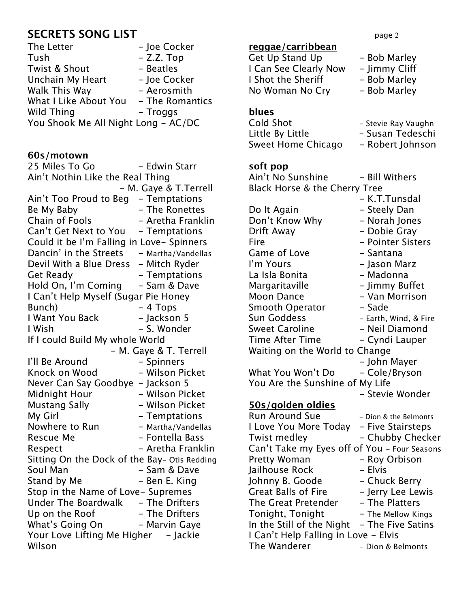# **SECRETS SONG LIST** page 2

| The Letter                          | - Joe Cocker    |
|-------------------------------------|-----------------|
| Tush                                | $-$ Z.Z. Top    |
| Twist & Shout                       | - Beatles       |
| Unchain My Heart                    | - Joe Cocker    |
| Walk This Way                       | - Aerosmith     |
| What I Like About You               | - The Romantics |
| Wild Thing                          | - Troggs        |
| You Shook Me All Night Long - AC/DC |                 |

## **60s/motown**

25 Miles To Go  $-$  Edwin Starr Ain't Nothin Like the Real Thing - M. Gaye & T.Terrell Ain't Too Proud to Beg - Temptations Be My Baby **- The Ronettes** Chain of Fools - Aretha Franklin Can't Get Next to You - Temptations Could it be I'm Falling in Love- Spinners Dancin' in the Streets  $-$  Martha/Vandellas Devil With a Blue Dress - Mitch Ryder Get Ready **- Temptations** Hold On, I'm Coming - Sam & Dave I Can't Help Myself (Sugar Pie Honey Bunch) - 4 Tops I Want You Back - Jackson 5 I Wish  $-S.$  Wonder If I could Build My whole World - M. Gaye & T. Terrell I'll Be Around - Spinners Knock on Wood - Wilson Picket Never Can Say Goodbye - Jackson 5 Midnight Hour - Wilson Picket Mustang Sally **- Wilson Picket** My Girl **Canadian Accord - Temptations** Nowhere to Run - Martha/Vandellas Rescue Me  $-$  Fontella Bass Respect - Aretha Franklin Sitting On the Dock of the Bay- Otis Redding Soul Man - Sam & Dave Stand by Me - Ben E. King Stop in the Name of Love- Supremes Under The Boardwalk - The Drifters Up on the Roof - The Drifters What's Going On - Marvin Gaye Your Love Lifting Me Higher - Jackie Wilson

#### **reggae/carribbean**

| Get Up Stand Up       | - Bob Marley  |
|-----------------------|---------------|
| I Can See Clearly Now | - Jimmy Cliff |
| I Shot the Sheriff    | - Bob Marley  |
| No Woman No Cry       | - Bob Marley  |
|                       |               |

## **blues**

| Cold Shot          | - Stevie Ray Vaughn |
|--------------------|---------------------|
| Little By Little   | - Susan Tedeschi    |
| Sweet Home Chicago | - Robert Johnson    |

| soft pop                                     |                       |
|----------------------------------------------|-----------------------|
| Ain't No Sunshine                            | - Bill Withers        |
| Black Horse & the Cherry Tree                |                       |
|                                              | - K.T.Tunsdal         |
| Do It Again                                  | – Steely Dan          |
| Don't Know Why                               | - Norah Jones         |
| Drift Away                                   | - Dobie Gray          |
| Fire                                         | - Pointer Sisters     |
| Game of Love                                 | - Santana             |
| I'm Yours                                    | - Jason Marz          |
| La Isla Bonita                               | - Madonna             |
| Margaritaville                               | - Jimmy Buffet        |
| <b>Moon Dance</b>                            | - Van Morrison        |
| <b>Smooth Operator</b>                       | - Sade                |
| <b>Sun Goddess</b>                           | - Earth, Wind, & Fire |
| <b>Sweet Caroline</b>                        | - Neil Diamond        |
| <b>Time After Time</b>                       | - Cyndi Lauper        |
| Waiting on the World to Change               |                       |
|                                              | - John Mayer          |
| What You Won't Do                            | - Cole/Bryson         |
| You Are the Sunshine of My Life              |                       |
|                                              | - Stevie Wonder       |
| <b>50s/golden oldies</b>                     |                       |
| <b>Run Around Sue</b>                        | - Dion & the Belmonts |
| I Love You More Today                        | - Five Stairsteps     |
| <b>Twist medley</b>                          | - Chubby Checker      |
| Can't Take my Eyes off of You - Four Seasons |                       |
| Pretty Woman                                 | - Roy Orbison         |
| Jailhouse Rock                               | – Elvis               |
| Johnny B. Goode                              | - Chuck Berry         |
| <b>Great Balls of Fire</b>                   | - Jerry Lee Lewis     |
| The Great Pretender                          | - The Platters        |
| Tonight, Tonight                             | - The Mellow Kings    |
| In the Still of the Night                    | – The Five Satins     |
| I Can't Help Falling in Love - Elvis         |                       |
| The Wanderer                                 | - Dion & Belmonts     |